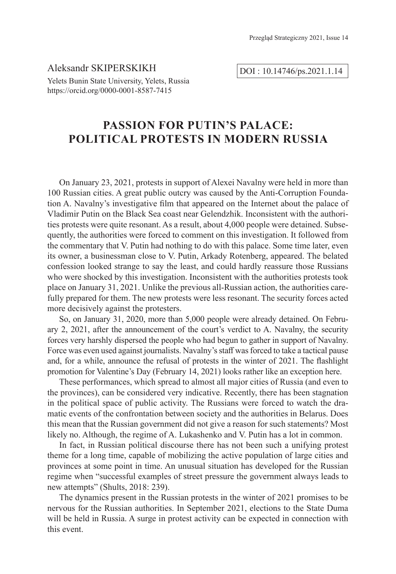Aleksandr SKIPERSKIKH Yelets Bunin State University, Yelets, Russia https://orcid.org/0000-0001-8587-7415

DOI : 10.14746/ps.2021.1.14

# **PASSION FOR PUTIN'S PALACE: POLITICAL PROTESTS IN MODERN RUSSIA**

On January 23, 2021, protests in support of Alexei Navalny were held in more than 100 Russian cities. A great public outcry was caused by the Anti-Corruption Foundation A. Navalny's investigative film that appeared on the Internet about the palace of Vladimir Putin on the Black Sea coast near Gelendzhik. Inconsistent with the authorities protests were quite resonant. As a result, about 4,000 people were detained. Subsequently, the authorities were forced to comment on this investigation. It followed from the commentary that V. Putin had nothing to do with this palace. Some time later, even its owner, a businessman close to V. Putin, Arkady Rotenberg, appeared. The belated confession looked strange to say the least, and could hardly reassure those Russians who were shocked by this investigation. Inconsistent with the authorities protests took place on January 31, 2021. Unlike the previous all-Russian action, the authorities carefully prepared for them. The new protests were less resonant. The security forces acted more decisively against the protesters.

So, on January 31, 2020, more than 5,000 people were already detained. On February 2, 2021, after the announcement of the court's verdict to A. Navalny, the security forces very harshly dispersed the people who had begun to gather in support of Navalny. Force was even used against journalists. Navalny's staff was forced to take a tactical pause and, for a while, announce the refusal of protests in the winter of 2021. The flashlight promotion for Valentine's Day (February 14, 2021) looks rather like an exception here.

These performances, which spread to almost all major cities of Russia (and even to the provinces), can be considered very indicative. Recently, there has been stagnation in the political space of public activity. The Russians were forced to watch the dramatic events of the confrontation between society and the authorities in Belarus. Does this mean that the Russian government did not give a reason for such statements? Most likely no. Although, the regime of A. Lukashenko and V. Putin has a lot in common.

In fact, in Russian political discourse there has not been such a unifying protest theme for a long time, capable of mobilizing the active population of large cities and provinces at some point in time. An unusual situation has developed for the Russian regime when "successful examples of street pressure the government always leads to new attempts" (Shults, 2018: 239).

The dynamics present in the Russian protests in the winter of 2021 promises to be nervous for the Russian authorities. In September 2021, elections to the State Duma will be held in Russia. A surge in protest activity can be expected in connection with this event.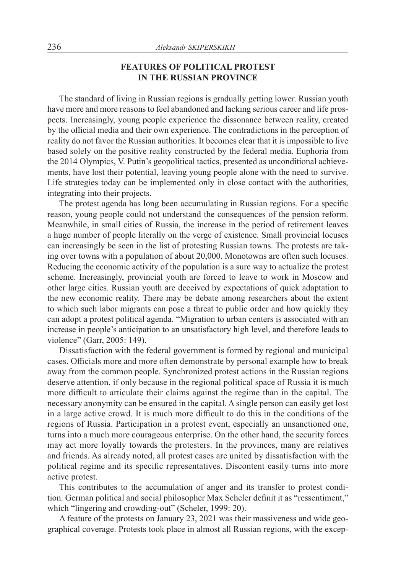## **FEATURES OF POLITICAL PROTEST IN THE RUSSIAN PROVINCE**

The standard of living in Russian regions is gradually getting lower. Russian youth have more and more reasons to feel abandoned and lacking serious career and life prospects. Increasingly, young people experience the dissonance between reality, created by the official media and their own experience. The contradictions in the perception of reality do not favor the Russian authorities. It becomes clear that it is impossible to live based solely on the positive reality constructed by the federal media. Euphoria from the 2014 Olympics, V. Putin's geopolitical tactics, presented as unconditional achievements, have lost their potential, leaving young people alone with the need to survive. Life strategies today can be implemented only in close contact with the authorities, integrating into their projects.

The protest agenda has long been accumulating in Russian regions. For a specific reason, young people could not understand the consequences of the pension reform. Meanwhile, in small cities of Russia, the increase in the period of retirement leaves a huge number of people literally on the verge of existence. Small provincial locuses can increasingly be seen in the list of protesting Russian towns. The protests are taking over towns with a population of about 20,000. Monotowns are often such locuses. Reducing the economic activity of the population is a sure way to actualize the protest scheme. Increasingly, provincial youth are forced to leave to work in Moscow and other large cities. Russian youth are deceived by expectations of quick adaptation to the new economic reality. There may be debate among researchers about the extent to which such labor migrants can pose a threat to public order and how quickly they can adopt a protest political agenda. "Migration to urban centers is associated with an increase in people's anticipation to an unsatisfactory high level, and therefore leads to violence" (Garr, 2005: 149).

Dissatisfaction with the federal government is formed by regional and municipal cases. Officials more and more often demonstrate by personal example how to break away from the common people. Synchronized protest actions in the Russian regions deserve attention, if only because in the regional political space of Russia it is much more difficult to articulate their claims against the regime than in the capital. The necessary anonymity can be ensured in the capital. A single person can easily get lost in a large active crowd. It is much more difficult to do this in the conditions of the regions of Russia. Participation in a protest event, especially an unsanctioned one, turns into a much more courageous enterprise. On the other hand, the security forces may act more loyally towards the protesters. In the provinces, many are relatives and friends. As already noted, all protest cases are united by dissatisfaction with the political regime and its specific representatives. Discontent easily turns into more active protest.

This contributes to the accumulation of anger and its transfer to protest condition. German political and social philosopher Max Scheler definit it as "ressentiment," which "lingering and crowding-out" (Scheler, 1999: 20).

A feature of the protests on January 23, 2021 was their massiveness and wide geographical coverage. Protests took place in almost all Russian regions, with the excep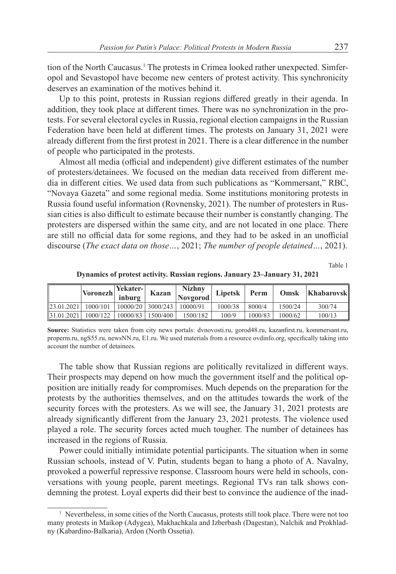tion of the North Caucasus.<sup>1</sup> The protests in Crimea looked rather unexpected. Simferopol and Sevastopol have become new centers of protest activity. This synchronicity deserves an examination of the motives behind it.

Up to this point, protests in Russian regions differed greatly in their agenda. In addition, they took place at different times. There was no synchronization in the protests. For several electoral cycles in Russia, regional election campaigns in the Russian Federation have been held at different times. The protests on January 31, 2021 were already different from the first protest in 2021. There is a clear difference in the number of people who participated in the protests.

Almost all media (official and independent) give different estimates of the number of protesters/detainees. We focused on the median data received from different media in different cities. We used data from such publications as "Kommersant," RBC, "Novaya Gazeta" and some regional media. Some institutions monitoring protests in Russia found useful information (Rovnensky, 2021). The number of protesters in Russian cities is also difficult to estimate because their number is constantly changing. The protesters are dispersed within the same city, and are not located in one place. There are still no official data for some regions, and they had to be asked in an unofficial discourse (*The exact data on those…*, 2021; *The number of people detained…*, 2021).

Table 1

|            | <b>Voronezh</b> | Yekater-<br>inburg | Kazan                 | <b>Nizhny</b><br>Novgorod | Lipetsk | Perm    | Omsk    | Khabarovsk |
|------------|-----------------|--------------------|-----------------------|---------------------------|---------|---------|---------|------------|
| 23.01.2021 | 1000/101        |                    | $10000/20$   3000/243 | 10000/91                  | 1000/38 | 8000/4  | 1500/24 | 300/74     |
| 31.01.2021 | 1000/122        | 10000/83           | 1500/400              | 1500/182                  | 100/9   | 1000/83 | 1000/62 | 100/13     |

**Dynamics of protest activity. Russian regions. January 23–January 31, 2021**

**Source:** Statistics were taken from city news portals: dvnovosti.ru, gorod48.ru, kazanfirst.ru, kommersant.ru, properm.ru, ngS55.ru, newsNN.ru, E1.ru. We used materials from a resource ovdinfo.org, specifically taking into account the number of detainees.

The table show that Russian regions are politically revitalized in different ways. Their prospects may depend on how much the government itself and the political opposition are initially ready for compromises. Much depends on the preparation for the protests by the authorities themselves, and on the attitudes towards the work of the security forces with the protesters. As we will see, the January 31, 2021 protests are already significantly different from the January 23, 2021 protests. The violence used played a role. The security forces acted much tougher. The number of detainees has increased in the regions of Russia.

Power could initially intimidate potential participants. The situation when in some Russian schools, instead of V. Putin, students began to hang a photo of A. Navalny, provoked a powerful repressive response. Classroom hours were held in schools, conversations with young people, parent meetings. Regional TVs ran talk shows condemning the protest. Loyal experts did their best to convince the audience of the inad-

<sup>&</sup>lt;sup>1</sup> Nevertheless, in some cities of the North Caucasus, protests still took place. There were not too many protests in Maikop (Adygea), Makhachkala and Izberbash (Dagestan), Nalchik and Prokhladny (Kabardino-Balkaria), Ardon (North Ossetia).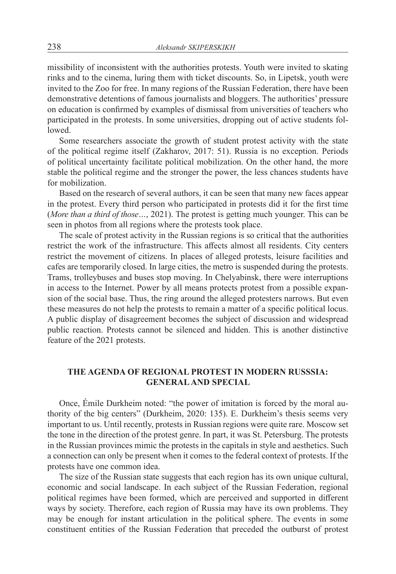missibility of inconsistent with the authorities protests. Youth were invited to skating rinks and to the cinema, luring them with ticket discounts. So, in Lipetsk, youth were invited to the Zoo for free. In many regions of the Russian Federation, there have been demonstrative detentions of famous journalists and bloggers. The authorities' pressure on education is confirmed by examples of dismissal from universities of teachers who participated in the protests. In some universities, dropping out of active students followed.

Some researchers associate the growth of student protest activity with the state of the political regime itself (Zakharov, 2017: 51). Russia is no exception. Periods of political uncertainty facilitate political mobilization. On the other hand, the more stable the political regime and the stronger the power, the less chances students have for mobilization.

Based on the research of several authors, it can be seen that many new faces appear in the protest. Every third person who participated in protests did it for the first time (*More than a third of those…*, 2021). The protest is getting much younger. This can be seen in photos from all regions where the protests took place.

The scale of protest activity in the Russian regions is so critical that the authorities restrict the work of the infrastructure. This affects almost all residents. City centers restrict the movement of citizens. In places of alleged protests, leisure facilities and cafes are temporarily closed. In large cities, the metro is suspended during the protests. Trams, trolleybuses and buses stop moving. In Chelyabinsk, there were interruptions in access to the Internet. Power by all means protects protest from a possible expansion of the social base. Thus, the ring around the alleged protesters narrows. But even these measures do not help the protests to remain a matter of a specific political locus. A public display of disagreement becomes the subject of discussion and widespread public reaction. Protests cannot be silenced and hidden. This is another distinctive feature of the 2021 protests.

# **THE AGENDA OF REGIONAL PROTEST IN MODERN RUSSSIA: GENERAL AND SPECIAL**

Once, Émile Durkheim noted: "the power of imitation is forced by the moral authority of the big centers" (Durkheim, 2020: 135). Е. Durkheim's thesis seems very important to us. Until recently, protests in Russian regions were quite rare. Moscow set the tone in the direction of the protest genre. In part, it was St. Petersburg. The protests in the Russian provinces mimic the protests in the capitals in style and aesthetics. Such a connection can only be present when it comes to the federal context of protests. If the protests have one common idea.

The size of the Russian state suggests that each region has its own unique cultural, economic and social landscape. In each subject of the Russian Federation, regional political regimes have been formed, which are perceived and supported in different ways by society. Therefore, each region of Russia may have its own problems. They may be enough for instant articulation in the political sphere. The events in some constituent entities of the Russian Federation that preceded the outburst of protest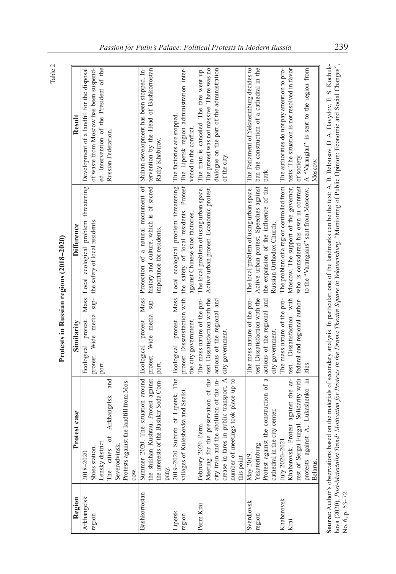Table 2

| ţ<br>١<br>ς                         |
|-------------------------------------|
| í<br>I<br>D<br>$\ddot{\phantom{a}}$ |
| l<br>i<br>$\frac{1}{2}$<br>I        |
| I                                   |

| Region        | Protest case                                                                                                                        | Similarity                  | Difference                                                                                                            | Result                                                                                                                                                                        |
|---------------|-------------------------------------------------------------------------------------------------------------------------------------|-----------------------------|-----------------------------------------------------------------------------------------------------------------------|-------------------------------------------------------------------------------------------------------------------------------------------------------------------------------|
| Arkhangelsk   | 2018-2020                                                                                                                           |                             |                                                                                                                       | Ecological protest. Mass Local ecological problem threatening Development of a landfill for the disposal                                                                      |
| region        | Shies station.                                                                                                                      | protest.                    | Wide media sup- the safety of local residents.                                                                        | of waste from Moscow has been suspend-                                                                                                                                        |
|               | Lensky district.                                                                                                                    | port.                       |                                                                                                                       | ed. Intervention of the President of the                                                                                                                                      |
|               | and<br>Arkhangelsk<br>The cities of                                                                                                 |                             |                                                                                                                       | Russian Federation.                                                                                                                                                           |
|               | Severodvinsk.                                                                                                                       |                             |                                                                                                                       |                                                                                                                                                                               |
|               | Protests against the landfill from Mos-                                                                                             |                             |                                                                                                                       |                                                                                                                                                                               |
|               | COW.                                                                                                                                |                             |                                                                                                                       |                                                                                                                                                                               |
| Bashkortostan | Summer 2020.                                                                                                                        |                             |                                                                                                                       | The situation around Ecological protest. Mass Protection of a natural monument of Shihan development has been stopped. In-                                                    |
|               |                                                                                                                                     |                             |                                                                                                                       | the shikhan Kushtau. Protest against  protest. Wide media sup-  history and culture, which is of sacred   tervention by the Head of Bashkortostan                             |
|               | the interests of the Bashkir Soda Com-   port.                                                                                      |                             | importance for residents.                                                                                             | Radiy Khabirov.                                                                                                                                                               |
|               | pany.                                                                                                                               |                             |                                                                                                                       |                                                                                                                                                                               |
| Lipetsk       |                                                                                                                                     |                             | 2019-2020 Suburb of Lipetsk. The Ecological protest. Mass Local ecological problem threatening                        | The factories are stopped.                                                                                                                                                    |
| region        | villages of Kuleshovka and Sselki.                                                                                                  |                             |                                                                                                                       | protest. Dissatisfaction with the safety of local residents. Protest The Lipetsk region administration inter-                                                                 |
|               |                                                                                                                                     | the city government.        | against Chinese shoe factories.                                                                                       | vened in the conflict.                                                                                                                                                        |
| Perm Krai     | Perm.<br>February 2020.                                                                                                             | The mass nature of the pro- | The local problem of using urban space.                                                                               | The train is canceled. The fare went up.                                                                                                                                      |
|               |                                                                                                                                     |                             | Meeting for the preservation of the test. Dissatisfaction with the Active urban protest. Economic protest.            | The protest was not massive. There was no                                                                                                                                     |
|               | city train and the abolition of the in- $\vert$ actions of the regional and crease in fares in public transport. A city government. |                             |                                                                                                                       | dialogue on the part of the administration                                                                                                                                    |
|               | in public transport. A city government                                                                                              |                             |                                                                                                                       | of the city.                                                                                                                                                                  |
|               | number of meetings took place up to                                                                                                 |                             |                                                                                                                       |                                                                                                                                                                               |
|               | this point.                                                                                                                         |                             |                                                                                                                       |                                                                                                                                                                               |
| Sverdlovsk    | May 2019.                                                                                                                           | The mass nature of the pro- |                                                                                                                       | The local problem of using urban space. The Parlament of Yekaterinburg decides to                                                                                             |
| region        | Yekaterinburg.                                                                                                                      |                             |                                                                                                                       | test. Dissatisfaction with the   Active urban protest. Speeches against   ban the construction of a cathedral in the                                                          |
|               | the construction of a<br>Protest against                                                                                            |                             | actions of the regional and the expansion of the influence of the                                                     | park.                                                                                                                                                                         |
|               | city center.<br>cathedral in the                                                                                                    | city government.            | Russian Orthodox Church.                                                                                              |                                                                                                                                                                               |
| Khabarovsk    | July 2020-2021                                                                                                                      | The mass nature of the pro- |                                                                                                                       | The problem of a region controlled from The authorities do not pay attention to pro-                                                                                          |
| Krai          | Khabarovsk. Protest against the ar-                                                                                                 | test. Dissatisfaction with  | Moscow. The support of the governor,                                                                                  | tests. The situation is not resolved in favor                                                                                                                                 |
|               |                                                                                                                                     |                             | rest of Sergei Furgal. Solidarity with rederal and regional author- who is considered his own in contrast of society. |                                                                                                                                                                               |
|               | A. Lukashenko in<br>protests against<br>Belarus.                                                                                    | ities.                      |                                                                                                                       | to the "Varangians" sent from Moscow.   A "Varangian" is sent to the region from                                                                                              |
|               |                                                                                                                                     |                             |                                                                                                                       | Moscow.                                                                                                                                                                       |
|               |                                                                                                                                     |                             |                                                                                                                       | Source: Author's observations based on the materials of secondary analysis. In particular, one of the landmarks can be the text: A. B. Belousov, D. A. Davydov, E. S. Kochuk- |

No. 6, p. 53–72.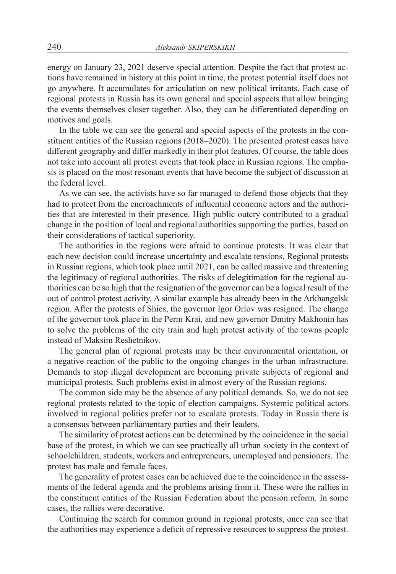energy on January 23, 2021 deserve special attention. Despite the fact that protest actions have remained in history at this point in time, the protest potential itself does not go anywhere. It accumulates for articulation on new political irritants. Each case of regional protests in Russia has its own general and special aspects that allow bringing the events themselves closer together. Also, they can be differentiated depending on motives and goals.

In the table we can see the general and special aspects of the protests in the constituent entities of the Russian regions (2018–2020). The presented protest cases have different geography and differ markedly in their plot features. Of course, the table does not take into account all protest events that took place in Russian regions. The emphasis is placed on the most resonant events that have become the subject of discussion at the federal level.

As we can see, the activists have so far managed to defend those objects that they had to protect from the encroachments of influential economic actors and the authorities that are interested in their presence. High public outcry contributed to a gradual change in the position of local and regional authorities supporting the parties, based on their considerations of tactical superiority.

The authorities in the regions were afraid to continue protests. It was clear that each new decision could increase uncertainty and escalate tensions. Regional protests in Russian regions, which took place until 2021, can be called massive and threatening the legitimacy of regional authorities. The risks of delegitimation for the regional authorities can be so high that the resignation of the governor can be a logical result of the out of control protest activity. A similar example has already been in the Arkhangelsk region. After the protests of Shies, the governor Igor Orlov was resigned. The change of the governor took place in the Perm Krai, and new governor Dmitry Makhonin has to solve the problems of the city train and high protest activity of the towns people instead of Maksim Reshetnikov.

The general plan of regional protests may be their environmental orientation, or a negative reaction of the public to the ongoing changes in the urban infrastructure. Demands to stop illegal development are becoming private subjects of regional and municipal protests. Such problems exist in almost every of the Russian regions.

The common side may be the absence of any political demands. So, we do not see regional protests related to the topic of election campaigns. Systemic political actors involved in regional politics prefer not to escalate protests. Today in Russia there is a consensus between parliamentary parties and their leaders.

The similarity of protest actions can be determined by the coincidence in the social base of the protest, in which we can see practically all urban society in the context of schoolchildren, students, workers and entrepreneurs, unemployed and pensioners. The protest has male and female faces.

The generality of protest cases can be achieved due to the coincidence in the assessments of the federal agenda and the problems arising from it. These were the rallies in the constituent entities of the Russian Federation about the pension reform. In some cases, the rallies were decorative.

Continuing the search for common ground in regional protests, once can see that the authorities may experience a deficit of repressive resources to suppress the protest.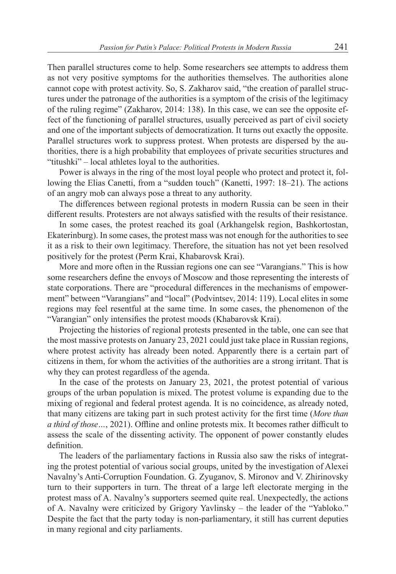Then parallel structures come to help. Some researchers see attempts to address them as not very positive symptoms for the authorities themselves. The authorities alone cannot cope with protest activity. So, S. Zakharov said, "the creation of parallel structures under the patronage of the authorities is a symptom of the crisis of the legitimacy of the ruling regime" (Zakharov, 2014: 138). In this case, we can see the opposite effect of the functioning of parallel structures, usually perceived as part of civil society and one of the important subjects of democratization. It turns out exactly the opposite. Parallel structures work to suppress protest. When protests are dispersed by the authorities, there is a high probability that employees of private securities structures and "titushki" – local athletes loyal to the authorities.

Power is always in the ring of the most loyal people who protect and protect it, following the Elias Canetti, from a "sudden touch" (Kanetti, 1997: 18–21). The actions of an angry mob can always pose a threat to any authority.

The differences between regional protests in modern Russia can be seen in their different results. Protesters are not always satisfied with the results of their resistance.

In some cases, the protest reached its goal (Arkhangelsk region, Bashkortostan, Ekaterinburg). In some cases, the protest mass was not enough for the authorities to see it as a risk to their own legitimacy. Therefore, the situation has not yet been resolved positively for the protest (Perm Krai, Khabarovsk Krai).

More and more often in the Russian regions one can see "Varangians." This is how some researchers define the envoys of Moscow and those representing the interests of state corporations. There are "procedural differences in the mechanisms of empowerment" between "Varangians" and "local" (Podvintsev, 2014: 119). Local elites in some regions may feel resentful at the same time. In some cases, the phenomenon of the "Varangian" only intensifies the protest moods (Khabarovsk Krai).

Projecting the histories of regional protests presented in the table, one can see that the most massive protests on January 23, 2021 could just take place in Russian regions, where protest activity has already been noted. Apparently there is a certain part of citizens in them, for whom the activities of the authorities are a strong irritant. That is why they can protest regardless of the agenda.

In the case of the protests on January 23, 2021, the protest potential of various groups of the urban population is mixed. The protest volume is expanding due to the mixing of regional and federal protest agenda. It is no coincidence, as already noted, that many citizens are taking part in such protest activity for the first time (*More than a third of those…*, 2021). Offline and online protests mix. It becomes rather difficult to assess the scale of the dissenting activity. The opponent of power constantly eludes definition.

The leaders of the parliamentary factions in Russia also saw the risks of integrating the protest potential of various social groups, united by the investigation of Alexei Navalny's Anti-Corruption Foundation. G. Zyuganov, S. Mironov and V. Zhirinovsky turn to their supporters in turn. The threat of a large left electorate merging in the protest mass of A. Navalny's supporters seemed quite real. Unexpectedly, the actions of A. Navalny were criticized by Grigory Yavlinsky – the leader of the "Yabloko." Despite the fact that the party today is non-parliamentary, it still has current deputies in many regional and city parliaments.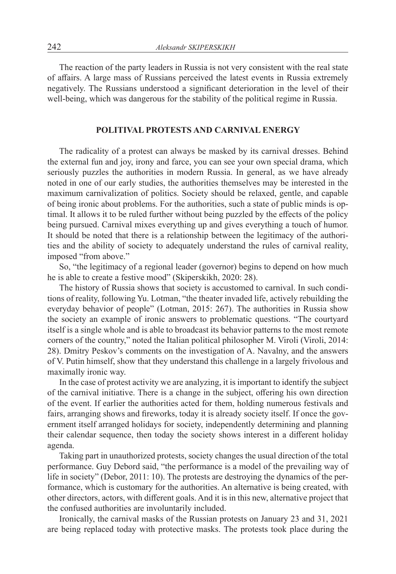The reaction of the party leaders in Russia is not very consistent with the real state of affairs. A large mass of Russians perceived the latest events in Russia extremely negatively. The Russians understood a significant deterioration in the level of their well-being, which was dangerous for the stability of the political regime in Russia.

#### **POLITIVAL PROTESTS AND CARNIVAL ENERGY**

The radicality of a protest can always be masked by its carnival dresses. Behind the external fun and joy, irony and farce, you can see your own special drama, which seriously puzzles the authorities in modern Russia. In general, as we have already noted in one of our early studies, the authorities themselves may be interested in the maximum carnivalization of politics. Society should be relaxed, gentle, and capable of being ironic about problems. For the authorities, such a state of public minds is optimal. It allows it to be ruled further without being puzzled by the effects of the policy being pursued. Carnival mixes everything up and gives everything a touch of humor. It should be noted that there is a relationship between the legitimacy of the authorities and the ability of society to adequately understand the rules of carnival reality, imposed "from above."

So, "the legitimacy of a regional leader (governor) begins to depend on how much he is able to create a festive mood" (Skiperskikh, 2020: 28).

The history of Russia shows that society is accustomed to carnival. In such conditions of reality, following Yu. Lotman, "the theater invaded life, actively rebuilding the everyday behavior of people" (Lotman, 2015: 267). The authorities in Russia show the society an example of ironic answers to problematic questions. "The courtyard itself is a single whole and is able to broadcast its behavior patterns to the most remote corners of the country," noted the Italian political philosopher M. Viroli (Viroli, 2014: 28). Dmitry Peskov's comments on the investigation of A. Navalny, and the answers of V. Putin himself, show that they understand this challenge in a largely frivolous and maximally ironic way.

In the case of protest activity we are analyzing, it is important to identify the subject of the carnival initiative. There is a change in the subject, offering his own direction of the event. If earlier the authorities acted for them, holding numerous festivals and fairs, arranging shows and fireworks, today it is already society itself. If once the government itself arranged holidays for society, independently determining and planning their calendar sequence, then today the society shows interest in a different holiday agenda.

Taking part in unauthorized protests, society changes the usual direction of the total performance. Guy Debord said, "the performance is a model of the prevailing way of life in society" (Debor, 2011: 10). The protests are destroying the dynamics of the performance, which is customary for the authorities. An alternative is being created, with other directors, actors, with different goals. And it is in this new, alternative project that the confused authorities are involuntarily included.

Ironically, the carnival masks of the Russian protests on January 23 and 31, 2021 are being replaced today with protective masks. The protests took place during the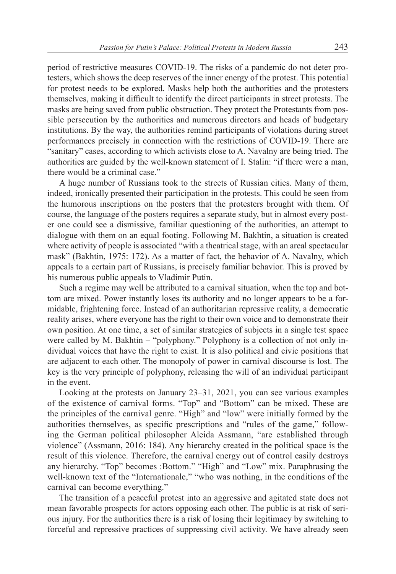period of restrictive measures COVID-19. The risks of a pandemic do not deter protesters, which shows the deep reserves of the inner energy of the protest. This potential for protest needs to be explored. Masks help both the authorities and the protesters themselves, making it difficult to identify the direct participants in street protests. The masks are being saved from public obstruction. They protect the Protestants from possible persecution by the authorities and numerous directors and heads of budgetary institutions. By the way, the authorities remind participants of violations during street performances precisely in connection with the restrictions of COVID-19. There are "sanitary" cases, according to which activists close to A. Navalny are being tried. The authorities are guided by the well-known statement of I. Stalin: "if there were a man, there would be a criminal case."

A huge number of Russians took to the streets of Russian cities. Many of them, indeed, ironically presented their participation in the protests. This could be seen from the humorous inscriptions on the posters that the protesters brought with them. Of course, the language of the posters requires a separate study, but in almost every poster one could see a dismissive, familiar questioning of the authorities, an attempt to dialogue with them on an equal footing. Following M. Bakhtin, a situation is created where activity of people is associated "with a theatrical stage, with an areal spectacular mask" (Bakhtin, 1975: 172). As a matter of fact, the behavior of A. Navalny, which appeals to a certain part of Russians, is precisely familiar behavior. This is proved by his numerous public appeals to Vladimir Putin.

Such a regime may well be attributed to a carnival situation, when the top and bottom are mixed. Power instantly loses its authority and no longer appears to be a formidable, frightening force. Instead of an authoritarian repressive reality, a democratic reality arises, where everyone has the right to their own voice and to demonstrate their own position. At one time, a set of similar strategies of subjects in a single test space were called by M. Bakhtin – "polyphony." Polyphony is a collection of not only individual voices that have the right to exist. It is also political and civic positions that are adjacent to each other. The monopoly of power in carnival discourse is lost. The key is the very principle of polyphony, releasing the will of an individual participant in the event.

Looking at the protests on January 23–31, 2021, you can see various examples of the existence of carnival forms. "Top" and "Bottom" can be mixed. These are the principles of the carnival genre. "High" and "low" were initially formed by the authorities themselves, as specific prescriptions and "rules of the game," following the German political philosopher Aleida Assmann, "are established through violence" (Assmann, 2016: 184). Any hierarchy created in the political space is the result of this violence. Therefore, the carnival energy out of control easily destroys any hierarchy. "Top" becomes :Bottom." "High" and "Low" mix. Paraphrasing the well-known text of the "Internationale," "who was nothing, in the conditions of the carnival can become everything."

The transition of a peaceful protest into an aggressive and agitated state does not mean favorable prospects for actors opposing each other. The public is at risk of serious injury. For the authorities there is a risk of losing their legitimacy by switching to forceful and repressive practices of suppressing civil activity. We have already seen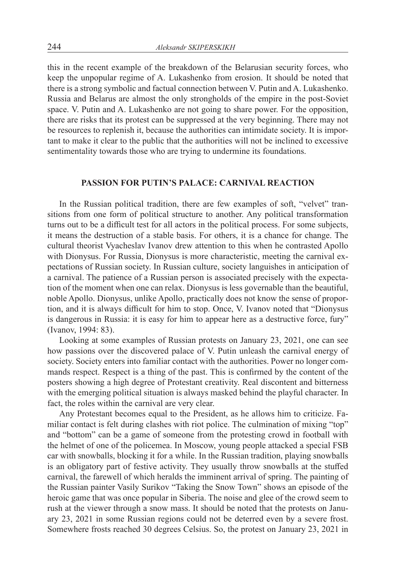this in the recent example of the breakdown of the Belarusian security forces, who keep the unpopular regime of A. Lukashenko from erosion. It should be noted that there is a strong symbolic and factual connection between V. Putin and A. Lukashenko. Russia and Belarus are almost the only strongholds of the empire in the post-Soviet space. V. Putin and A. Lukashenko are not going to share power. For the opposition, there are risks that its protest can be suppressed at the very beginning. There may not be resources to replenish it, because the authorities can intimidate society. It is important to make it clear to the public that the authorities will not be inclined to excessive sentimentality towards those who are trying to undermine its foundations.

## **PASSION FOR PUTIN'S PALACE: CARNIVAL REACTION**

In the Russian political tradition, there are few examples of soft, "velvet" transitions from one form of political structure to another. Any political transformation turns out to be a difficult test for all actors in the political process. For some subjects, it means the destruction of a stable basis. For others, it is a chance for change. The cultural theorist Vyacheslav Ivanov drew attention to this when he contrasted Apollo with Dionysus. For Russia, Dionysus is more characteristic, meeting the carnival expectations of Russian society. In Russian culture, society languishes in anticipation of a carnival. The patience of a Russian person is associated precisely with the expectation of the moment when one can relax. Dionysus is less governable than the beautiful, noble Apollo. Dionysus, unlike Apollo, practically does not know the sense of proportion, and it is always difficult for him to stop. Once, V. Ivanov noted that "Dionysus is dangerous in Russia: it is easy for him to appear here as a destructive force, fury" (Ivanov, 1994: 83).

Looking at some examples of Russian protests on January 23, 2021, one can see how passions over the discovered palace of V. Putin unleash the carnival energy of society. Society enters into familiar contact with the authorities. Power no longer commands respect. Respect is a thing of the past. This is confirmed by the content of the posters showing a high degree of Protestant creativity. Real discontent and bitterness with the emerging political situation is always masked behind the playful character. In fact, the roles within the carnival are very clear.

Any Protestant becomes equal to the President, as he allows him to criticize. Familiar contact is felt during clashes with riot police. The culmination of mixing "top" and "bottom" can be a game of someone from the protesting crowd in football with the helmet of one of the policemea. In Moscow, young people attacked a special FSB car with snowballs, blocking it for a while. In the Russian tradition, playing snowballs is an obligatory part of festive activity. They usually throw snowballs at the stuffed carnival, the farewell of which heralds the imminent arrival of spring. The painting of the Russian painter Vasily Surikov "Taking the Snow Town" shows an episode of the heroic game that was once popular in Siberia. The noise and glee of the crowd seem to rush at the viewer through a snow mass. It should be noted that the protests on January 23, 2021 in some Russian regions could not be deterred even by a severe frost. Somewhere frosts reached 30 degrees Celsius. So, the protest on January 23, 2021 in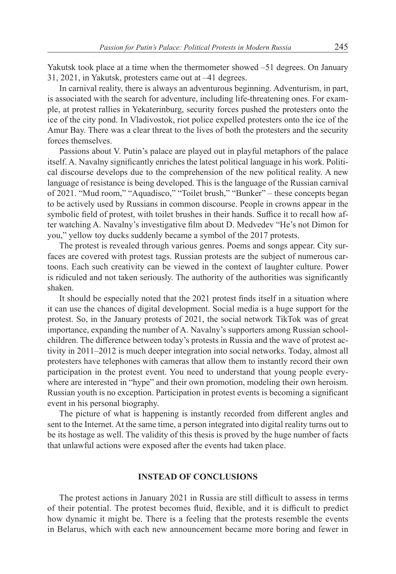Yakutsk took place at a time when the thermometer showed –51 degrees. On January 31, 2021, in Yakutsk, protesters came out at –41 degrees.

In carnival reality, there is always an adventurous beginning. Adventurism, in part, is associated with the search for adventure, including life-threatening ones. For example, at protest rallies in Yekaterinburg, security forces pushed the protesters onto the ice of the city pond. In Vladivostok, riot police expelled protesters onto the ice of the Amur Bay. There was a clear threat to the lives of both the protesters and the security forces themselves.

Passions about V. Putin's palace are played out in playful metaphors of the palace itself. A. Navalny significantly enriches the latest political language in his work. Political discourse develops due to the comprehension of the new political reality. A new language of resistance is being developed. This is the language of the Russian carnival of 2021. "Mud room," "Aquadisco," "Toilet brush," "Bunker" – these concepts began to be actively used by Russians in common discourse. People in crowns appear in the symbolic field of protest, with toilet brushes in their hands. Suffice it to recall how after watching A. Navalny's investigative film about D. Medvedev "He's not Dimon for you," yellow toy ducks suddenly became a symbol of the 2017 protests.

The protest is revealed through various genres. Poems and songs appear. City surfaces are covered with protest tags. Russian protests are the subject of numerous cartoons. Each such creativity can be viewed in the context of laughter culture. Power is ridiculed and not taken seriously. The authority of the authorities was significantly shaken.

It should be especially noted that the 2021 protest finds itself in a situation where it can use the chances of digital development. Social media is a huge support for the protest. So, in the January protests of 2021, the social network TikTok was of great importance, expanding the number of A. Navalny's supporters among Russian schoolchildren. The difference between today's protests in Russia and the wave of protest activity in 2011–2012 is much deeper integration into social networks. Today, almost all protesters have telephones with cameras that allow them to instantly record their own participation in the protest event. You need to understand that young people everywhere are interested in "hype" and their own promotion, modeling their own heroism. Russian youth is no exception. Participation in protest events is becoming a significant event in his personal biography.

The picture of what is happening is instantly recorded from different angles and sent to the Internet. At the same time, a person integrated into digital reality turns out to be its hostage as well. The validity of this thesis is proved by the huge number of facts that unlawful actions were exposed after the events had taken place.

## **INSTEAD OF CONCLUSIONS**

The protest actions in January 2021 in Russia are still difficult to assess in terms of their potential. The protest becomes fluid, flexible, and it is difficult to predict how dynamic it might be. There is a feeling that the protests resemble the events in Belarus, which with each new announcement became more boring and fewer in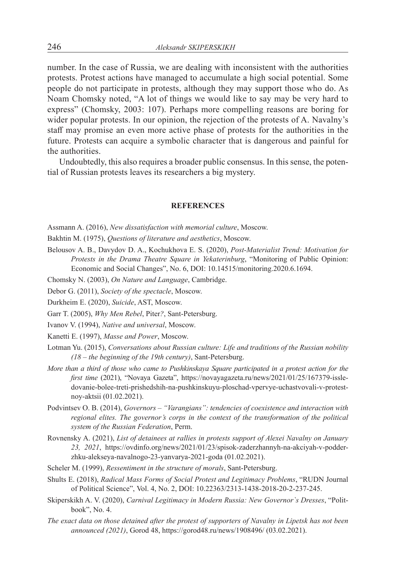number. In the case of Russia, we are dealing with inconsistent with the authorities protests. Protest actions have managed to accumulate a high social potential. Some people do not participate in protests, although they may support those who do. As Noam Chomsky noted, "A lot of things we would like to say may be very hard to express" (Chomsky, 2003: 107). Perhaps more compelling reasons are boring for wider popular protests. In our opinion, the rejection of the protests of A. Navalny's staff may promise an even more active phase of protests for the authorities in the future. Protests can acquire a symbolic character that is dangerous and painful for the authorities.

Undoubtedly, this also requires a broader public consensus. In this sense, the potential of Russian protests leaves its researchers a big mystery.

#### **REFERENCES**

Assmann A. (2016), *New dissatisfaction with memorial culture*, Moscow.

Bakhtin M. (1975), *Questions of literature and aesthetics*, Moscow.

- Belousov A. B., Davydov D. A., Kochukhova E. S. (2020), *Post-Materialist Trend: Motivation for Protests in the Drama Theatre Square in Yekaterinburg*, "Monitoring of Public Opinion: Economic and Social Changes", No. 6, DOI: 10.14515/monitoring.2020.6.1694.
- Chomsky N. (2003), *On Nature and Language*, Cambridge.
- Debor G. (2011), *Society of the spectacle*, Moscow.

Durkheim E. (2020), *Suicide*, AST, Moscow.

Garr T. (2005), *Why Men Rebel*, Piter*?*, Sant-Petersburg.

Ivanov V. (1994), *Native and universal*, Moscow.

- Kanetti E. (1997), *Masse and Power*, Moscow.
- Lotman Yu. (2015), *Conversations about Russian culture: Life and traditions of the Russian nobility (18 – the beginning of the 19th century)*, Sant-Petersburg.
- *More than a third of those who came to Pushkinskaya Square participated in a protest action for the first time* (2021), "Novaya Gazeta", https://novayagazeta.ru/news/2021/01/25/167379-issledovanie-bolee-treti-prishedshih-na-pushkinskuyu-ploschad-vpervye-uchastvovali-v-protestnoy-aktsii (01.02.2021).
- Podvintsev O. B. (2014), *Governors "Varangians": tendencies of coexistence and interaction with regional elites. The governor's corps in the context of the transformation of the political system of the Russian Federation*, Perm.
- Rovnensky A. (2021), *List of detainees at rallies in protests support of Alexei Navalny on January 23, 2021*, https://ovdinfo.org/news/2021/01/23/spisok-zaderzhannyh-na-akciyah-v-podderzhku-alekseya-navalnogo-23-yanvarya-2021-goda (01.02.2021).
- Scheler M. (1999), *Ressentiment in the structure of morals*, Sant-Petersburg.
- Shults E. (2018), *Radical Mass Forms оf Social Protest and Legitimacy Problems*, "RUDN Journal of Political Science", Vol. 4, No. 2, DOI: 10.22363/2313-1438-2018-20-2-237-245.
- Skiperskikh A. V. (2020), *Carnival Legitimacy in Modern Russia: New Governor`s Dresses*, "Politbook", No. 4.
- *The exact data on those detained after the protest of supporters of Navalny in Lipetsk has not been announced (2021)*, Gorod 48, https://gorod48.ru/news/1908496/ (03.02.2021).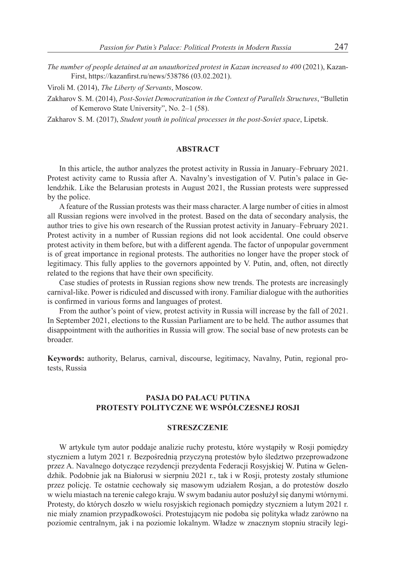*The number of people detained at an unauthorized protest in Kazan increased to 400* (2021), Kazan-First, https://kazanfirst.ru/news/538786 (03.02.2021).

Viroli M. (2014), *The Liberty of Servants*, Moscow.

Zakharov S. M. (2014), *Post-Soviet Democratization in the Context of Parallels Structures*, "Bulletin of Kemerovo State University", No. 2–1 (58).

Zakharov S. M. (2017), *Student youth in political processes in the post-Soviet space*, Lipetsk.

### **ABSTRACT**

In this article, the author analyzes the protest activity in Russia in January–February 2021. Protest activity came to Russia after A. Navalny's investigation of V. Putin's palace in Gelendzhik. Like the Belarusian protests in August 2021, the Russian protests were suppressed by the police.

A feature of the Russian protests was their mass character. A large number of cities in almost all Russian regions were involved in the protest. Based on the data of secondary analysis, the author tries to give his own research of the Russian protest activity in January–February 2021. Protest activity in a number of Russian regions did not look accidental. One could observe protest activity in them before, but with a different agenda. The factor of unpopular government is of great importance in regional protests. The authorities no longer have the proper stock of legitimacy. This fully applies to the governors appointed by V. Putin, and, often, not directly related to the regions that have their own specificity.

Case studies of protests in Russian regions show new trends. The protests are increasingly carnival-like. Power is ridiculed and discussed with irony. Familiar dialogue with the authorities is confirmed in various forms and languages of protest.

From the author's point of view, protest activity in Russia will increase by the fall of 2021. In September 2021, elections to the Russian Parliament are to be held. The author assumes that disappointment with the authorities in Russia will grow. The social base of new protests can be broader.

**Keywords:** authority, Belarus, carnival, discourse, legitimacy, Navalny, Putin, regional protests, Russia

## **PASJA DO PAŁACU PUTINA PROTESTY POLITYCZNE WE WSPÓŁCZESNEJ ROSJI**

#### **STRESZCZENIE**

W artykule tym autor poddaje analizie ruchy protestu, które wystąpiły w Rosji pomiędzy styczniem a lutym 2021 r. Bezpośrednią przyczyną protestów było śledztwo przeprowadzone przez A. Navalnego dotyczące rezydencji prezydenta Federacji Rosyjskiej W. Putina w Gelendzhik. Podobnie jak na Białorusi w sierpniu 2021 r., tak i w Rosji, protesty zostały stłumione przez policję. Te ostatnie cechowały się masowym udziałem Rosjan, a do protestów doszło w wielu miastach na terenie całego kraju. W swym badaniu autor posłużył się danymi wtórnymi. Protesty, do których doszło w wielu rosyjskich regionach pomiędzy styczniem a lutym 2021 r. nie miały znamion przypadkowości. Protestującym nie podoba się polityka władz zarówno na poziomie centralnym, jak i na poziomie lokalnym. Władze w znacznym stopniu straciły legi